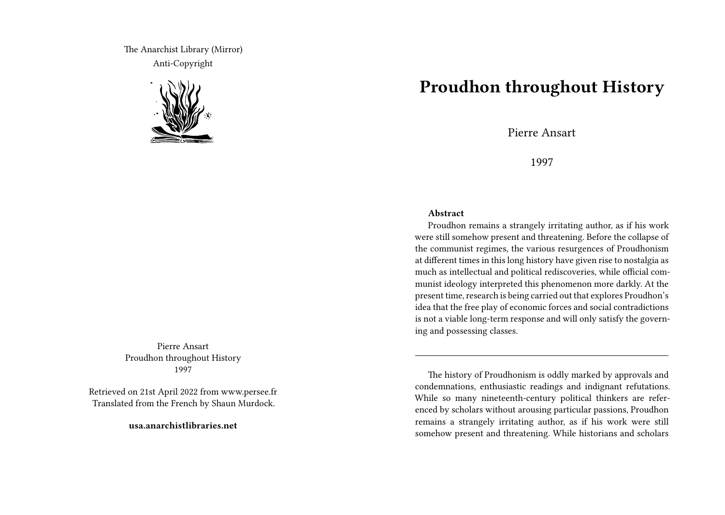The Anarchist Library (Mirror) Anti-Copyright



Pierre Ansart Proudhon throughout History 1997

Retrieved on 21st April 2022 from www.persee.fr Translated from the French by Shaun Murdock.

**usa.anarchistlibraries.net**

## **Proudhon throughout History**

Pierre Ansart

1997

## **Abstract**

Proudhon remains a strangely irritating author, as if his work were still somehow present and threatening. Before the collapse of the communist regimes, the various resurgences of Proudhonism at different times in this long history have given rise to nostalgia as much as intellectual and political rediscoveries, while official communist ideology interpreted this phenomenon more darkly. At the present time, research is being carried out that explores Proudhon's idea that the free play of economic forces and social contradictions is not a viable long-term response and will only satisfy the governing and possessing classes.

The history of Proudhonism is oddly marked by approvals and condemnations, enthusiastic readings and indignant refutations. While so many nineteenth-century political thinkers are referenced by scholars without arousing particular passions, Proudhon remains a strangely irritating author, as if his work were still somehow present and threatening. While historians and scholars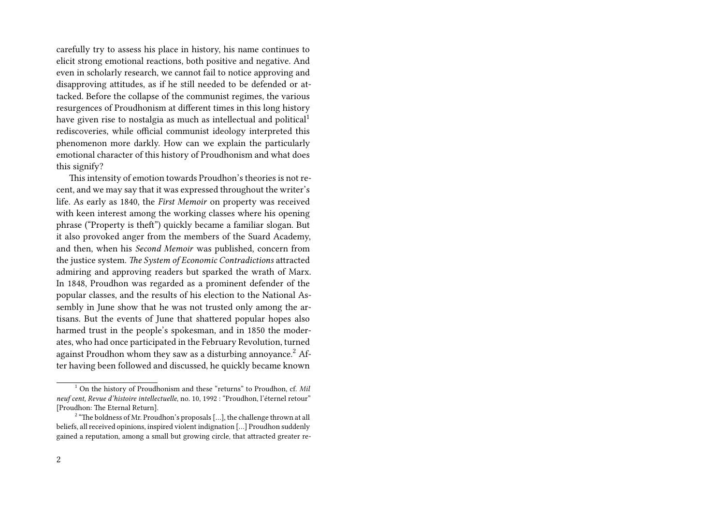carefully try to assess his place in history, his name continues to elicit strong emotional reactions, both positive and negative. And even in scholarly research, we cannot fail to notice approving and disapproving attitudes, as if he still needed to be defended or attacked. Before the collapse of the communist regimes, the various resurgences of Proudhonism at different times in this long history have given rise to nostalgia as much as intellectual and political<sup>1</sup> rediscoveries, while official communist ideology interpreted this phenomenon more darkly. How can we explain the particularly emotional character of this history of Proudhonism and what does this signify?

This intensity of emotion towards Proudhon's theories is not recent, and we may say that it was expressed throughout the writer's life. As early as 1840, the *First Memoir* on property was received with keen interest among the working classes where his opening phrase ("Property is theft") quickly became a familiar slogan. But it also provoked anger from the members of the Suard Academy, and then, when his *Second Memoir* was published, concern from the justice system. *The System of Economic Contradictions* attracted admiring and approving readers but sparked the wrath of Marx. In 1848, Proudhon was regarded as a prominent defender of the popular classes, and the results of his election to the National Assembly in June show that he was not trusted only among the artisans. But the events of June that shattered popular hopes also harmed trust in the people's spokesman, and in 1850 the moderates, who had once participated in the February Revolution, turned against Proudhon whom they saw as a disturbing annoyance.<sup>2</sup> After having been followed and discussed, he quickly became known

<sup>1</sup> On the history of Proudhonism and these "returns" to Proudhon, cf. *Mil neuf cent, Revue d'histoire intellectuelle*, no. 10, 1992 : "Proudhon, l'éternel retour" [Proudhon: The Eternal Return].

 $2<sup>2</sup>$  "The boldness of Mr. Proudhon's proposals [...], the challenge thrown at all beliefs, all received opinions, inspired violent indignation […] Proudhon suddenly gained a reputation, among a small but growing circle, that attracted greater re-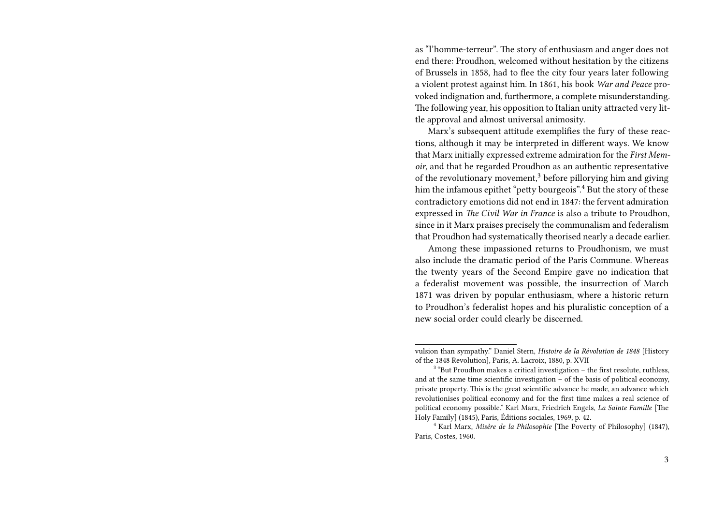as "l'homme-terreur". The story of enthusiasm and anger does not end there: Proudhon, welcomed without hesitation by the citizens of Brussels in 1858, had to flee the city four years later following a violent protest against him. In 1861, his book *War and Peace* provoked indignation and, furthermore, a complete misunderstanding. The following year, his opposition to Italian unity attracted very little approval and almost universal animosity.

Marx's subsequent attitude exemplifies the fury of these reactions, although it may be interpreted in different ways. We know that Marx initially expressed extreme admiration for the *First Memoir*, and that he regarded Proudhon as an authentic representative of the revolutionary movement, $3$  before pillorying him and giving him the infamous epithet "petty bourgeois".<sup>4</sup> But the story of these contradictory emotions did not end in 1847: the fervent admiration expressed in *The Civil War in France* is also a tribute to Proudhon, since in it Marx praises precisely the communalism and federalism that Proudhon had systematically theorised nearly a decade earlier.

Among these impassioned returns to Proudhonism, we must also include the dramatic period of the Paris Commune. Whereas the twenty years of the Second Empire gave no indication that a federalist movement was possible, the insurrection of March 1871 was driven by popular enthusiasm, where a historic return to Proudhon's federalist hopes and his pluralistic conception of a new social order could clearly be discerned.

vulsion than sympathy." Daniel Stern, *Histoire de la Révolution de 1848* [History of the 1848 Revolution], Paris, A. Lacroix, 1880, p. XVII

 $3$  "But Proudhon makes a critical investigation  $-$  the first resolute, ruthless, and at the same time scientific investigation – of the basis of political economy, private property. This is the great scientific advance he made, an advance which revolutionises political economy and for the first time makes a real science of political economy possible." Karl Marx, Friedrich Engels, *La Sainte Famille* [The Holy Family] (1845), Paris, Éditions sociales, 1969, p. 42.

<sup>4</sup> Karl Marx, *Misère de la Philosophie* [The Poverty of Philosophy] (1847), Paris, Costes, 1960.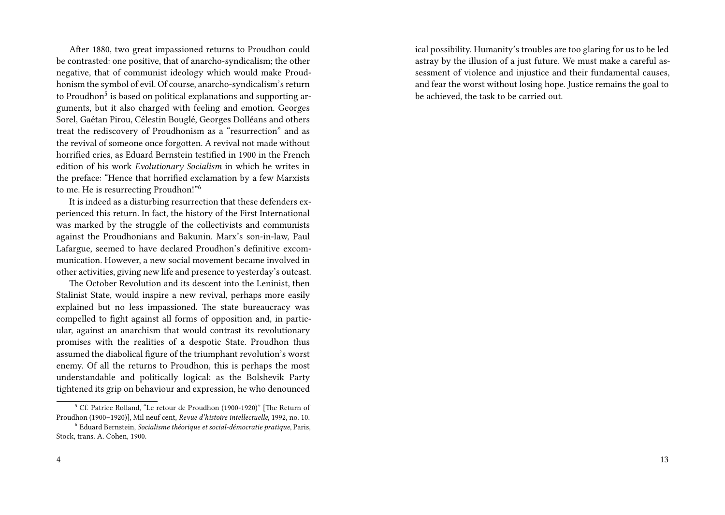After 1880, two great impassioned returns to Proudhon could be contrasted: one positive, that of anarcho-syndicalism; the other negative, that of communist ideology which would make Proudhonism the symbol of evil. Of course, anarcho-syndicalism's return to Proudhon<sup>5</sup> is based on political explanations and supporting arguments, but it also charged with feeling and emotion. Georges Sorel, Gaétan Pirou, Célestin Bouglé, Georges Dolléans and others treat the rediscovery of Proudhonism as a "resurrection" and as the revival of someone once forgotten. A revival not made without horrified cries, as Eduard Bernstein testified in 1900 in the French edition of his work *Evolutionary Socialism* in which he writes in the preface: "Hence that horrified exclamation by a few Marxists to me. He is resurrecting Proudhon!"<sup>6</sup>

It is indeed as a disturbing resurrection that these defenders experienced this return. In fact, the history of the First International was marked by the struggle of the collectivists and communists against the Proudhonians and Bakunin. Marx's son-in-law, Paul Lafargue, seemed to have declared Proudhon's definitive excommunication. However, a new social movement became involved in other activities, giving new life and presence to yesterday's outcast.

The October Revolution and its descent into the Leninist, then Stalinist State, would inspire a new revival, perhaps more easily explained but no less impassioned. The state bureaucracy was compelled to fight against all forms of opposition and, in particular, against an anarchism that would contrast its revolutionary promises with the realities of a despotic State. Proudhon thus assumed the diabolical figure of the triumphant revolution's worst enemy. Of all the returns to Proudhon, this is perhaps the most understandable and politically logical: as the Bolshevik Party tightened its grip on behaviour and expression, he who denounced

ical possibility. Humanity's troubles are too glaring for us to be led astray by the illusion of a just future. We must make a careful assessment of violence and injustice and their fundamental causes, and fear the worst without losing hope. Justice remains the goal to be achieved, the task to be carried out.

<sup>5</sup> Cf. Patrice Rolland, "Le retour de Proudhon (1900-1920)" [The Return of Proudhon (1900–1920)], Mil neuf cent, *Revue d'histoire intellectuelle*, 1992, no. 10.

<sup>6</sup> Eduard Bernstein, *Socialisme théorique et social-démocratie pratique*, Paris, Stock, trans. A. Cohen, 1900.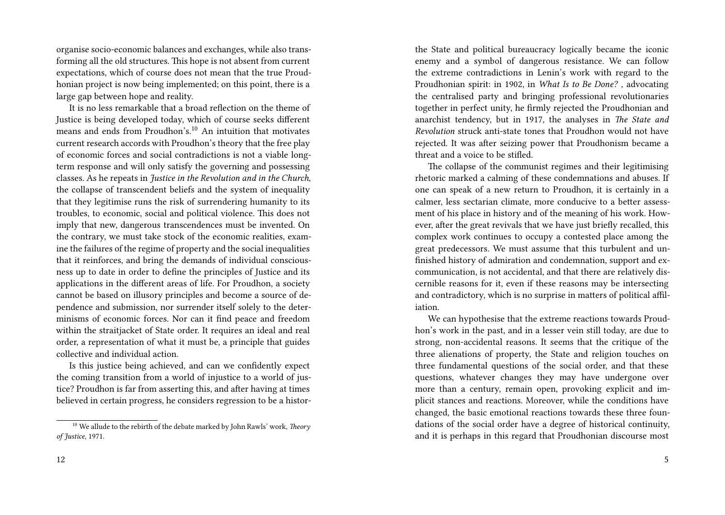organise socio-economic balances and exchanges, while also transforming all the old structures. This hope is not absent from current expectations, which of course does not mean that the true Proudhonian project is now being implemented; on this point, there is a large gap between hope and reality.

It is no less remarkable that a broad reflection on the theme of Justice is being developed today, which of course seeks different means and ends from Proudhon's. $10$  An intuition that motivates current research accords with Proudhon's theory that the free play of economic forces and social contradictions is not a viable longterm response and will only satisfy the governing and possessing classes. As he repeats in *Justice in the Revolution and in the Church*, the collapse of transcendent beliefs and the system of inequality that they legitimise runs the risk of surrendering humanity to its troubles, to economic, social and political violence. This does not imply that new, dangerous transcendences must be invented. On the contrary, we must take stock of the economic realities, examine the failures of the regime of property and the social inequalities that it reinforces, and bring the demands of individual consciousness up to date in order to define the principles of Justice and its applications in the different areas of life. For Proudhon, a society cannot be based on illusory principles and become a source of dependence and submission, nor surrender itself solely to the determinisms of economic forces. Nor can it find peace and freedom within the straitjacket of State order. It requires an ideal and real order, a representation of what it must be, a principle that guides collective and individual action.

Is this justice being achieved, and can we confidently expect the coming transition from a world of injustice to a world of justice? Proudhon is far from asserting this, and after having at times believed in certain progress, he considers regression to be a histor-

the State and political bureaucracy logically became the iconic enemy and a symbol of dangerous resistance. We can follow the extreme contradictions in Lenin's work with regard to the Proudhonian spirit: in 1902, in *What Is to Be Done?* , advocating the centralised party and bringing professional revolutionaries together in perfect unity, he firmly rejected the Proudhonian and anarchist tendency, but in 1917, the analyses in *The State and Revolution* struck anti-state tones that Proudhon would not have rejected. It was after seizing power that Proudhonism became a threat and a voice to be stifled.

The collapse of the communist regimes and their legitimising rhetoric marked a calming of these condemnations and abuses. If one can speak of a new return to Proudhon, it is certainly in a calmer, less sectarian climate, more conducive to a better assessment of his place in history and of the meaning of his work. However, after the great revivals that we have just briefly recalled, this complex work continues to occupy a contested place among the great predecessors. We must assume that this turbulent and unfinished history of admiration and condemnation, support and excommunication, is not accidental, and that there are relatively discernible reasons for it, even if these reasons may be intersecting and contradictory, which is no surprise in matters of political affiliation.

We can hypothesise that the extreme reactions towards Proudhon's work in the past, and in a lesser vein still today, are due to strong, non-accidental reasons. It seems that the critique of the three alienations of property, the State and religion touches on three fundamental questions of the social order, and that these questions, whatever changes they may have undergone over more than a century, remain open, provoking explicit and implicit stances and reactions. Moreover, while the conditions have changed, the basic emotional reactions towards these three foundations of the social order have a degree of historical continuity, and it is perhaps in this regard that Proudhonian discourse most

<sup>10</sup> We allude to the rebirth of the debate marked by John Rawls' work, *Theory of Justice*, 1971.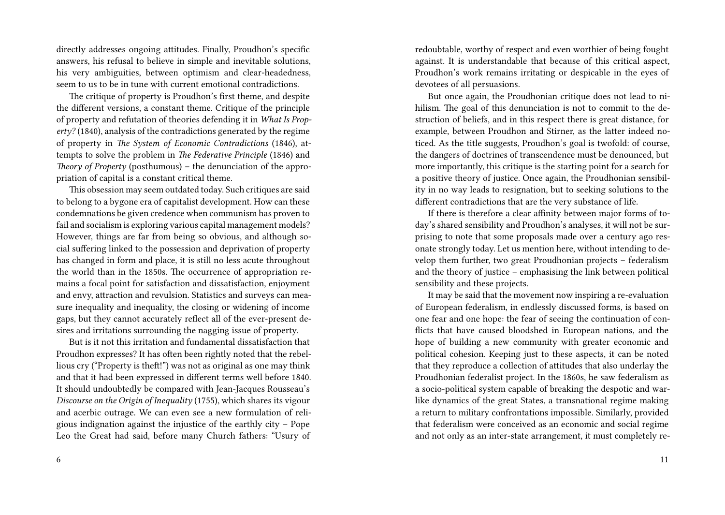directly addresses ongoing attitudes. Finally, Proudhon's specific answers, his refusal to believe in simple and inevitable solutions, his very ambiguities, between optimism and clear-headedness, seem to us to be in tune with current emotional contradictions.

The critique of property is Proudhon's first theme, and despite the different versions, a constant theme. Critique of the principle of property and refutation of theories defending it in *What Is Property?* (1840), analysis of the contradictions generated by the regime of property in *The System of Economic Contradictions* (1846), attempts to solve the problem in *The Federative Principle* (1846) and *Theory of Property* (posthumous) – the denunciation of the appropriation of capital is a constant critical theme.

This obsession may seem outdated today. Such critiques are said to belong to a bygone era of capitalist development. How can these condemnations be given credence when communism has proven to fail and socialism is exploring various capital management models? However, things are far from being so obvious, and although social suffering linked to the possession and deprivation of property has changed in form and place, it is still no less acute throughout the world than in the 1850s. The occurrence of appropriation remains a focal point for satisfaction and dissatisfaction, enjoyment and envy, attraction and revulsion. Statistics and surveys can measure inequality and inequality, the closing or widening of income gaps, but they cannot accurately reflect all of the ever-present desires and irritations surrounding the nagging issue of property.

But is it not this irritation and fundamental dissatisfaction that Proudhon expresses? It has often been rightly noted that the rebellious cry ("Property is theft!") was not as original as one may think and that it had been expressed in different terms well before 1840. It should undoubtedly be compared with Jean-Jacques Rousseau's *Discourse on the Origin of Inequality* (1755), which shares its vigour and acerbic outrage. We can even see a new formulation of religious indignation against the injustice of the earthly city – Pope Leo the Great had said, before many Church fathers: "Usury of redoubtable, worthy of respect and even worthier of being fought against. It is understandable that because of this critical aspect, Proudhon's work remains irritating or despicable in the eyes of devotees of all persuasions.

But once again, the Proudhonian critique does not lead to nihilism. The goal of this denunciation is not to commit to the destruction of beliefs, and in this respect there is great distance, for example, between Proudhon and Stirner, as the latter indeed noticed. As the title suggests, Proudhon's goal is twofold: of course, the dangers of doctrines of transcendence must be denounced, but more importantly, this critique is the starting point for a search for a positive theory of justice. Once again, the Proudhonian sensibility in no way leads to resignation, but to seeking solutions to the different contradictions that are the very substance of life.

If there is therefore a clear affinity between major forms of today's shared sensibility and Proudhon's analyses, it will not be surprising to note that some proposals made over a century ago resonate strongly today. Let us mention here, without intending to develop them further, two great Proudhonian projects – federalism and the theory of justice – emphasising the link between political sensibility and these projects.

It may be said that the movement now inspiring a re-evaluation of European federalism, in endlessly discussed forms, is based on one fear and one hope: the fear of seeing the continuation of conflicts that have caused bloodshed in European nations, and the hope of building a new community with greater economic and political cohesion. Keeping just to these aspects, it can be noted that they reproduce a collection of attitudes that also underlay the Proudhonian federalist project. In the 1860s, he saw federalism as a socio-political system capable of breaking the despotic and warlike dynamics of the great States, a transnational regime making a return to military confrontations impossible. Similarly, provided that federalism were conceived as an economic and social regime and not only as an inter-state arrangement, it must completely re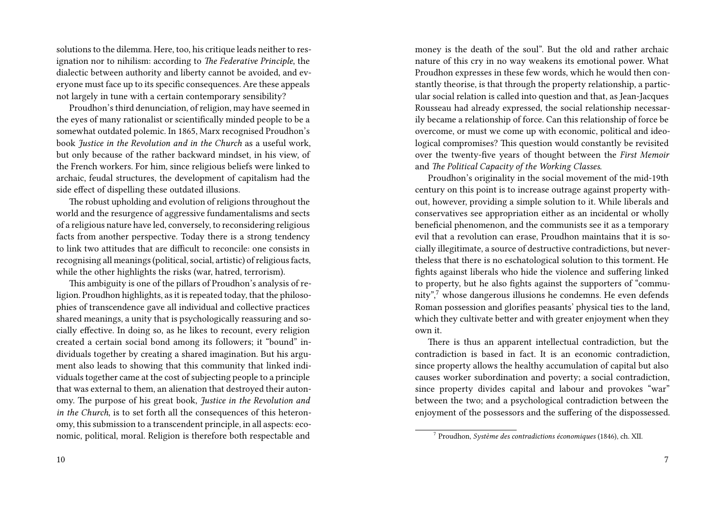solutions to the dilemma. Here, too, his critique leads neither to resignation nor to nihilism: according to *The Federative Principle*, the dialectic between authority and liberty cannot be avoided, and everyone must face up to its specific consequences. Are these appeals not largely in tune with a certain contemporary sensibility?

Proudhon's third denunciation, of religion, may have seemed in the eyes of many rationalist or scientifically minded people to be a somewhat outdated polemic. In 1865, Marx recognised Proudhon's book *Justice in the Revolution and in the Church* as a useful work, but only because of the rather backward mindset, in his view, of the French workers. For him, since religious beliefs were linked to archaic, feudal structures, the development of capitalism had the side effect of dispelling these outdated illusions.

The robust upholding and evolution of religions throughout the world and the resurgence of aggressive fundamentalisms and sects of a religious nature have led, conversely, to reconsidering religious facts from another perspective. Today there is a strong tendency to link two attitudes that are difficult to reconcile: one consists in recognising all meanings (political, social, artistic) of religious facts, while the other highlights the risks (war, hatred, terrorism).

This ambiguity is one of the pillars of Proudhon's analysis of religion. Proudhon highlights, as it is repeated today, that the philosophies of transcendence gave all individual and collective practices shared meanings, a unity that is psychologically reassuring and socially effective. In doing so, as he likes to recount, every religion created a certain social bond among its followers; it "bound" individuals together by creating a shared imagination. But his argument also leads to showing that this community that linked individuals together came at the cost of subjecting people to a principle that was external to them, an alienation that destroyed their autonomy. The purpose of his great book, *Justice in the Revolution and in the Church*, is to set forth all the consequences of this heteronomy, this submission to a transcendent principle, in all aspects: economic, political, moral. Religion is therefore both respectable and

10

money is the death of the soul". But the old and rather archaic nature of this cry in no way weakens its emotional power. What Proudhon expresses in these few words, which he would then constantly theorise, is that through the property relationship, a particular social relation is called into question and that, as Jean-Jacques Rousseau had already expressed, the social relationship necessarily became a relationship of force. Can this relationship of force be overcome, or must we come up with economic, political and ideological compromises? This question would constantly be revisited over the twenty-five years of thought between the *First Memoir* and *The Political Capacity of the Working Classes*.

Proudhon's originality in the social movement of the mid-19th century on this point is to increase outrage against property without, however, providing a simple solution to it. While liberals and conservatives see appropriation either as an incidental or wholly beneficial phenomenon, and the communists see it as a temporary evil that a revolution can erase, Proudhon maintains that it is socially illegitimate, a source of destructive contradictions, but nevertheless that there is no eschatological solution to this torment. He fights against liberals who hide the violence and suffering linked to property, but he also fights against the supporters of "community",<sup>7</sup> whose dangerous illusions he condemns. He even defends Roman possession and glorifies peasants' physical ties to the land, which they cultivate better and with greater enjoyment when they own it.

There is thus an apparent intellectual contradiction, but the contradiction is based in fact. It is an economic contradiction, since property allows the healthy accumulation of capital but also causes worker subordination and poverty; a social contradiction, since property divides capital and labour and provokes "war" between the two; and a psychological contradiction between the enjoyment of the possessors and the suffering of the dispossessed.

<sup>7</sup> Proudhon, *Système des contradictions économiques* (1846), ch. XII.